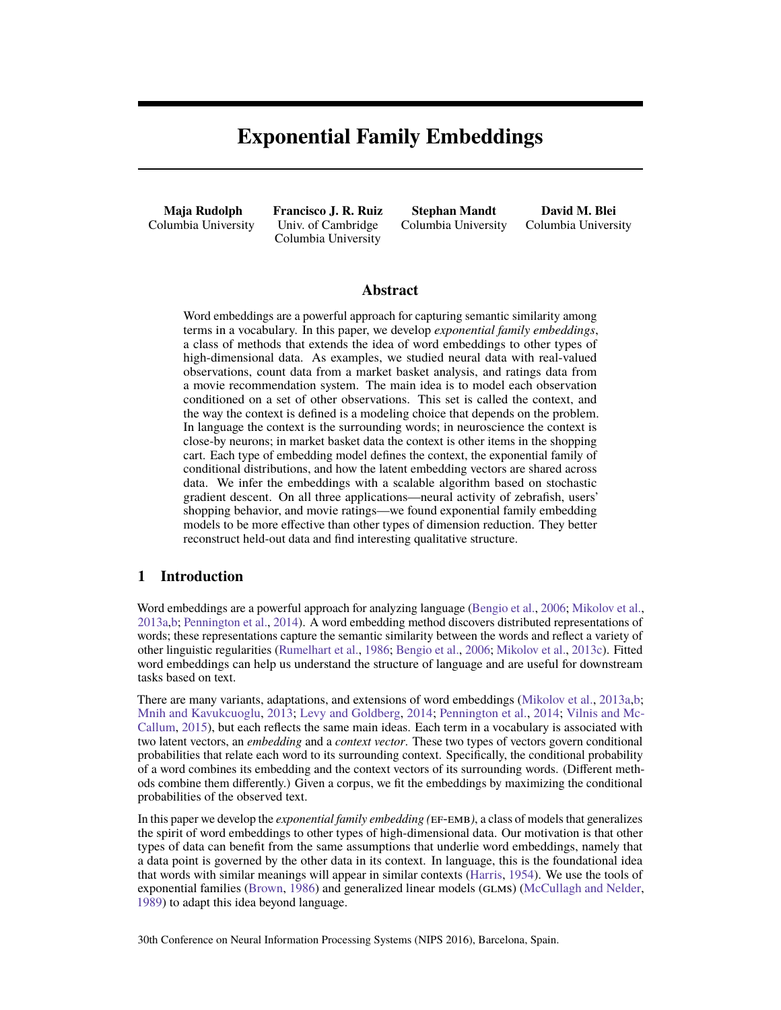# **Exponential Family Embeddings**

**Maja Rudolph** Columbia University

**Francisco J. R. Ruiz** Univ. of Cambridge Columbia University

**Stephan Mandt** Columbia University

**David M. Blei** Columbia University

### **Abstract**

Word embeddings are a powerful approach for capturing semantic similarity among terms in a vocabulary. In this paper, we develop *exponential family embeddings*, a class of methods that extends the idea of word embeddings to other types of high-dimensional data. As examples, we studied neural data with real-valued observations, count data from a market basket analysis, and ratings data from a movie recommendation system. The main idea is to model each observation conditioned on a set of other observations. This set is called the context, and the way the context is defined is a modeling choice that depends on the problem. In language the context is the surrounding words; in neuroscience the context is close-by neurons; in market basket data the context is other items in the shopping cart. Each type of embedding model defines the context, the exponential family of conditional distributions, and how the latent embedding vectors are shared across data. We infer the embeddings with a scalable algorithm based on stochastic gradient descent. On all three applications—neural activity of zebrafish, users' shopping behavior, and movie ratings—we found exponential family embedding models to be more effective than other types of dimension reduction. They better reconstruct held-out data and find interesting qualitative structure.

### **1 Introduction**

Word embeddings are a powerful approach for analyzing language [\(Bengio et al.,](#page-8-0) [2006;](#page-8-0) [Mikolov et al.,](#page-8-1) [2013a](#page-8-1)[,b;](#page-8-2) [Pennington et al.,](#page-8-3) [2014\)](#page-8-3). A word embedding method discovers distributed representations of words; these representations capture the semantic similarity between the words and reflect a variety of other linguistic regularities [\(Rumelhart et al.,](#page-8-4) [1986;](#page-8-4) [Bengio et al.,](#page-8-0) [2006;](#page-8-0) [Mikolov et al.,](#page-8-5) [2013c\)](#page-8-5). Fitted word embeddings can help us understand the structure of language and are useful for downstream tasks based on text.

There are many variants, adaptations, and extensions of word embeddings [\(Mikolov et al.,](#page-8-1) [2013a,](#page-8-1)[b;](#page-8-2) [Mnih and Kavukcuoglu,](#page-8-6) [2013;](#page-8-6) [Levy and Goldberg,](#page-8-7) [2014;](#page-8-7) [Pennington et al.,](#page-8-3) [2014;](#page-8-3) [Vilnis and Mc-](#page-8-8)[Callum,](#page-8-8) [2015\)](#page-8-8), but each reflects the same main ideas. Each term in a vocabulary is associated with two latent vectors, an *embedding* and a *context vector*. These two types of vectors govern conditional probabilities that relate each word to its surrounding context. Specifically, the conditional probability of a word combines its embedding and the context vectors of its surrounding words. (Different methods combine them differently.) Given a corpus, we fit the embeddings by maximizing the conditional probabilities of the observed text.

In this paper we develop the *exponential family embedding (*ef-emb*)*, a class of models that generalizes the spirit of word embeddings to other types of high-dimensional data. Our motivation is that other types of data can benefit from the same assumptions that underlie word embeddings, namely that a data point is governed by the other data in its context. In language, this is the foundational idea that words with similar meanings will appear in similar contexts [\(Harris,](#page-8-9) [1954\)](#page-8-9). We use the tools of exponential families [\(Brown,](#page-8-10) [1986\)](#page-8-10) and generalized linear models (glms) [\(McCullagh and Nelder,](#page-8-11) [1989\)](#page-8-11) to adapt this idea beyond language.

30th Conference on Neural Information Processing Systems (NIPS 2016), Barcelona, Spain.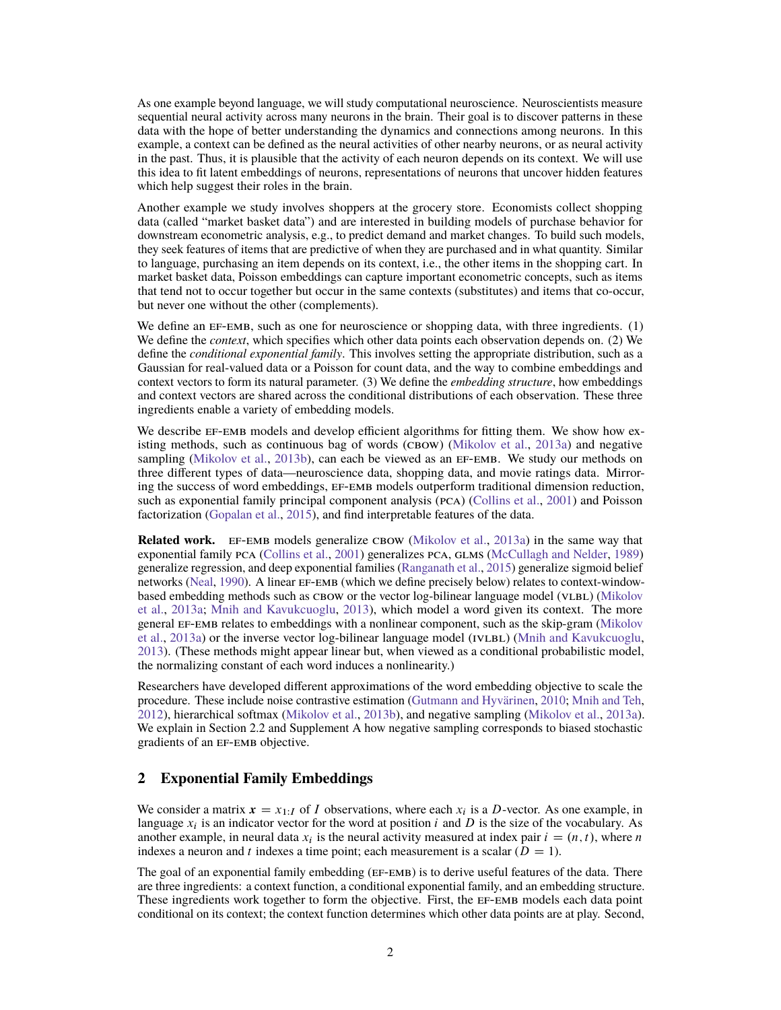As one example beyond language, we will study computational neuroscience. Neuroscientists measure sequential neural activity across many neurons in the brain. Their goal is to discover patterns in these data with the hope of better understanding the dynamics and connections among neurons. In this example, a context can be defined as the neural activities of other nearby neurons, or as neural activity in the past. Thus, it is plausible that the activity of each neuron depends on its context. We will use this idea to fit latent embeddings of neurons, representations of neurons that uncover hidden features which help suggest their roles in the brain.

Another example we study involves shoppers at the grocery store. Economists collect shopping data (called "market basket data") and are interested in building models of purchase behavior for downstream econometric analysis, e.g., to predict demand and market changes. To build such models, they seek features of items that are predictive of when they are purchased and in what quantity. Similar to language, purchasing an item depends on its context, i.e., the other items in the shopping cart. In market basket data, Poisson embeddings can capture important econometric concepts, such as items that tend not to occur together but occur in the same contexts (substitutes) and items that co-occur, but never one without the other (complements).

We define an  $EF$ -EMB, such as one for neuroscience or shopping data, with three ingredients.  $(1)$ We define the *context*, which specifies which other data points each observation depends on. (2) We define the *conditional exponential family*. This involves setting the appropriate distribution, such as a Gaussian for real-valued data or a Poisson for count data, and the way to combine embeddings and context vectors to form its natural parameter. (3) We define the *embedding structure*, how embeddings and context vectors are shared across the conditional distributions of each observation. These three ingredients enable a variety of embedding models.

We describe EF-EMB models and develop efficient algorithms for fitting them. We show how existing methods, such as continuous bag of words ( $CBOW$ ) [\(Mikolov et al.,](#page-8-1) [2013a\)](#page-8-1) and negative sampling [\(Mikolov et al.,](#page-8-2) [2013b\)](#page-8-2), can each be viewed as an EF-EMB. We study our methods on three different types of data—neuroscience data, shopping data, and movie ratings data. Mirroring the success of word embeddings, ef-emb models outperform traditional dimension reduction, such as exponential family principal component analysis (pca) [\(Collins et al.,](#page-8-12) [2001\)](#page-8-12) and Poisson factorization [\(Gopalan et al.,](#page-8-13) [2015\)](#page-8-13), and find interpretable features of the data.

**Related work.** EF-EMB models generalize CBOW [\(Mikolov et al.,](#page-8-1) [2013a\)](#page-8-1) in the same way that exponential family PCA [\(Collins et al.,](#page-8-12) [2001\)](#page-8-12) generalizes PCA, GLMS [\(McCullagh and Nelder,](#page-8-11) [1989\)](#page-8-11) generalize regression, and deep exponential families [\(Ranganath et al.,](#page-8-14) [2015\)](#page-8-14) generalize sigmoid belief networks [\(Neal,](#page-8-15) [1990\)](#page-8-15). A linear ef-emb (which we define precisely below) relates to context-window-based embedding methods such as CBOW or the vector log-bilinear language model (VLBL) [\(Mikolov](#page-8-1) [et al.,](#page-8-1) [2013a;](#page-8-1) [Mnih and Kavukcuoglu,](#page-8-6) [2013\)](#page-8-6), which model a word given its context. The more general EF-EMB relates to embeddings with a nonlinear component, such as the skip-gram [\(Mikolov](#page-8-1) [et al.,](#page-8-1) [2013a\)](#page-8-1) or the inverse vector log-bilinear language model (IVLBL) [\(Mnih and Kavukcuoglu,](#page-8-6) [2013\)](#page-8-6). (These methods might appear linear but, when viewed as a conditional probabilistic model, the normalizing constant of each word induces a nonlinearity.)

Researchers have developed different approximations of the word embedding objective to scale the procedure. These include noise contrastive estimation [\(Gutmann and Hyvärinen,](#page-8-16) [2010;](#page-8-16) [Mnih and Teh,](#page-8-17) [2012\)](#page-8-17), hierarchical softmax [\(Mikolov et al.,](#page-8-2) [2013b\)](#page-8-2), and negative sampling [\(Mikolov et al.,](#page-8-1) [2013a\)](#page-8-1). We explain in [Section 2.2](#page-4-0) and [Supplement A](#page--1-0) how negative sampling corresponds to biased stochastic gradients of an EF-EMB objective.

# **2 Exponential Family Embeddings**

We consider a matrix  $x = x_{1:I}$  of I observations, where each  $x_i$  is a D-vector. As one example, in language  $x_i$  is an indicator vector for the word at position i and D is the size of the vocabulary. As another example, in neural data  $x_i$  is the neural activity measured at index pair  $i = (n, t)$ , where n indexes a neuron and t indexes a time point; each measurement is a scalar  $(D = 1)$ .

The goal of an exponential family embedding (EF-EMB) is to derive useful features of the data. There are three ingredients: a context function, a conditional exponential family, and an embedding structure. These ingredients work together to form the objective. First, the EF-EMB models each data point conditional on its context; the context function determines which other data points are at play. Second,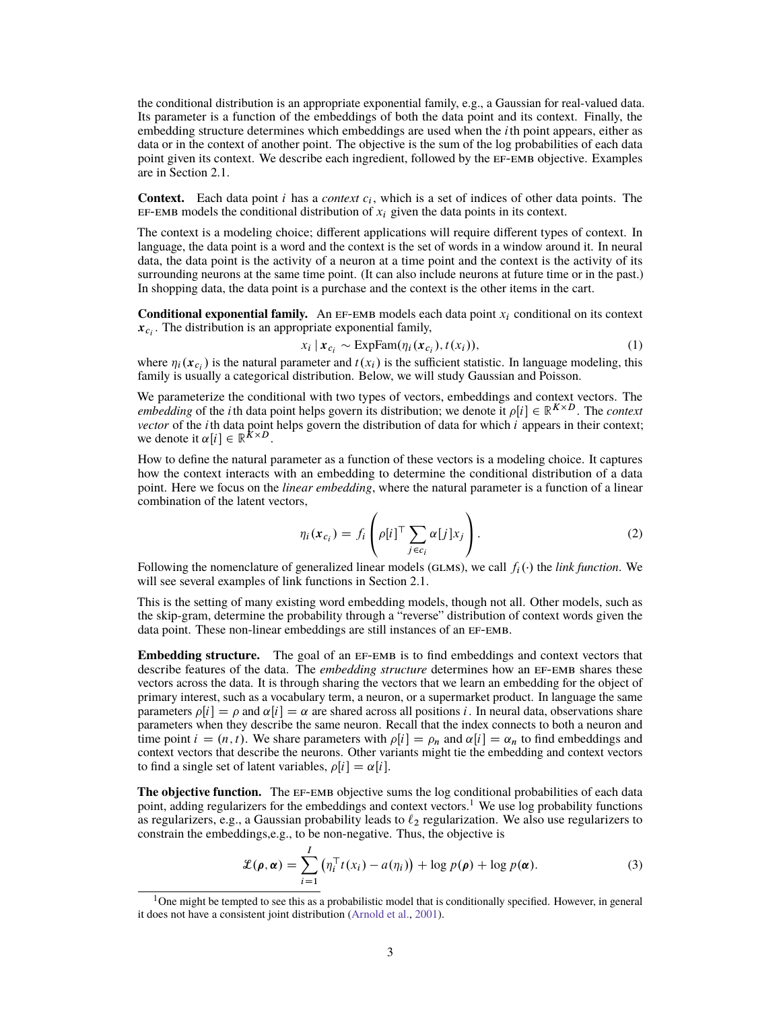the conditional distribution is an appropriate exponential family, e.g., a Gaussian for real-valued data. Its parameter is a function of the embeddings of both the data point and its context. Finally, the embedding structure determines which embeddings are used when the *i*th point appears, either as data or in the context of another point. The objective is the sum of the log probabilities of each data point given its context. We describe each ingredient, followed by the EF-EMB objective. Examples are in [Section 2.1.](#page-3-0)

**Context.** Each data point  $i$  has a *context*  $c_i$ , which is a set of indices of other data points. The EF-EMB models the conditional distribution of  $x_i$  given the data points in its context.

The context is a modeling choice; different applications will require different types of context. In language, the data point is a word and the context is the set of words in a window around it. In neural data, the data point is the activity of a neuron at a time point and the context is the activity of its surrounding neurons at the same time point. (It can also include neurons at future time or in the past.) In shopping data, the data point is a purchase and the context is the other items in the cart.

**Conditional exponential family.** An EF-EMB models each data point  $x_i$  conditional on its context  $x_{c_i}$ . The distribution is an appropriate exponential family,

$$
x_i | \mathbf{x}_{c_i} \sim \text{ExpFam}(\eta_i(\mathbf{x}_{c_i}), t(x_i)), \tag{1}
$$

where  $\eta_i(\mathbf{x}_{c_i})$  is the natural parameter and  $t(x_i)$  is the sufficient statistic. In language modeling, this family is usually a categorical distribution. Below, we will study Gaussian and Poisson.

We parameterize the conditional with two types of vectors, embeddings and context vectors. The *embedding* of the *i*th data point helps govern its distribution; we denote it  $\rho[i] \in \mathbb{R}^{K \times D}$ . The *context vector* of the *i*th data point helps govern the distribution of data for which *i* appears in their context; we denote it  $\alpha[i] \in \mathbb{R}^{K \times D}$ .

How to define the natural parameter as a function of these vectors is a modeling choice. It captures how the context interacts with an embedding to determine the conditional distribution of a data point. Here we focus on the *linear embedding*, where the natural parameter is a function of a linear combination of the latent vectors,

<span id="page-2-2"></span>
$$
\eta_i(\mathbf{x}_{c_i}) = f_i\left(\rho[i]^\top \sum_{j \in c_i} \alpha[j] x_j\right). \tag{2}
$$

Following the nomenclature of generalized linear models (GLMS), we call  $f_i(\cdot)$  the *link function*. We will see several examples of link functions in [Section 2.1.](#page-3-0)

This is the setting of many existing word embedding models, though not all. Other models, such as the skip-gram, determine the probability through a "reverse" distribution of context words given the data point. These non-linear embeddings are still instances of an EF-EMB.

**Embedding structure.** The goal of an EF-EMB is to find embeddings and context vectors that describe features of the data. The *embedding structure* determines how an EF-EMB shares these vectors across the data. It is through sharing the vectors that we learn an embedding for the object of primary interest, such as a vocabulary term, a neuron, or a supermarket product. In language the same parameters  $\rho[i] = \rho$  and  $\alpha[i] = \alpha$  are shared across all positions i. In neural data, observations share parameters when they describe the same neuron. Recall that the index connects to both a neuron and time point  $i = (n, t)$ . We share parameters with  $\rho[i] = \rho_n$  and  $\alpha[i] = \alpha_n$  to find embeddings and context vectors that describe the neurons. Other variants might tie the embedding and context vectors to find a single set of latent variables,  $\rho[i] = \alpha[i]$ .

**The objective function.** The EF-EMB objective sums the log conditional probabilities of each data point, adding regularizers for the embeddings and context vectors.<sup>[1](#page-2-0)</sup> We use log probability functions as regularizers, e.g., a Gaussian probability leads to  $\ell_2$  regularization. We also use regularizers to constrain the embeddings,e.g., to be non-negative. Thus, the objective is

<span id="page-2-1"></span>
$$
\mathcal{L}(\rho, \alpha) = \sum_{i=1}^{I} \left( \eta_i^{\top} t(x_i) - a(\eta_i) \right) + \log p(\rho) + \log p(\alpha).
$$
 (3)

<span id="page-2-0"></span><sup>&</sup>lt;sup>1</sup>One might be tempted to see this as a probabilistic model that is conditionally specified. However, in general it does not have a consistent joint distribution [\(Arnold et al.,](#page-8-18) [2001\)](#page-8-18).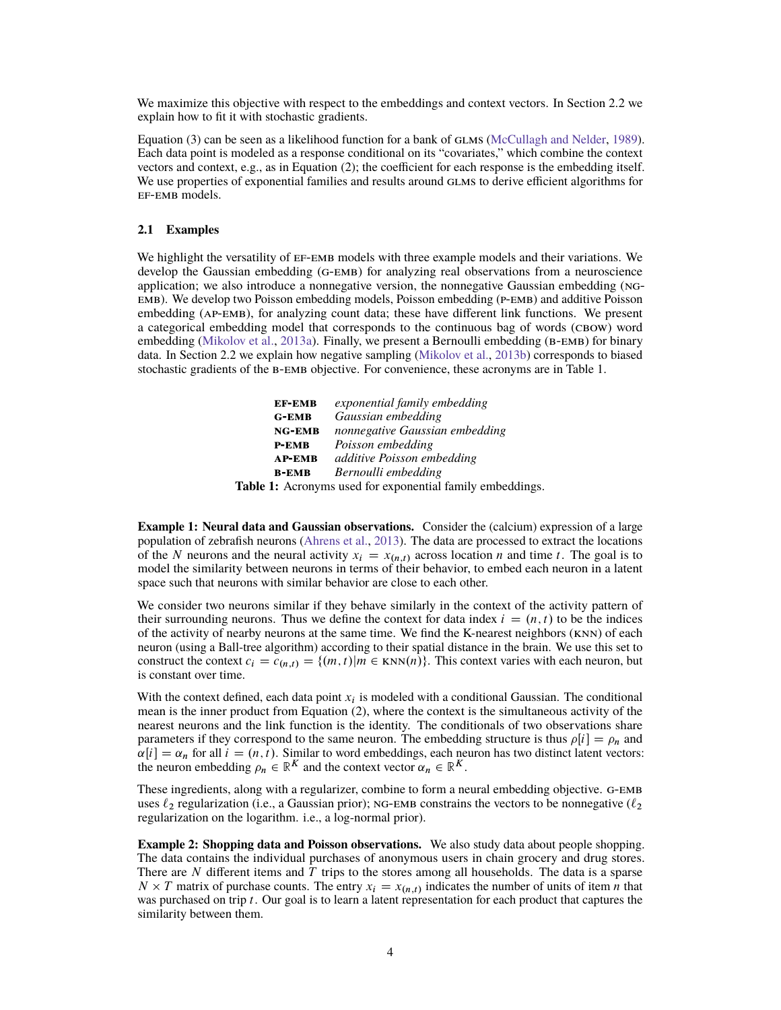We maximize this objective with respect to the embeddings and context vectors. In [Section 2.2](#page-4-0) we explain how to fit it with stochastic gradients.

[Equation \(3\)](#page-2-1) can be seen as a likelihood function for a bank of GLMS [\(McCullagh and Nelder,](#page-8-11) [1989\)](#page-8-11). Each data point is modeled as a response conditional on its "covariates," which combine the context vectors and context, e.g., as in [Equation \(2\);](#page-2-2) the coefficient for each response is the embedding itself. We use properties of exponential families and results around GLMs to derive efficient algorithms for ef-emb models.

#### <span id="page-3-0"></span>**2.1 Examples**

We highlight the versatility of EF-EMB models with three example models and their variations. We develop the Gaussian embedding (g-emb) for analyzing real observations from a neuroscience application; we also introduce a nonnegative version, the nonnegative Gaussian embedding (ngemb). We develop two Poisson embedding models, Poisson embedding (p-emb) and additive Poisson embedding (ap-emb), for analyzing count data; these have different link functions. We present a categorical embedding model that corresponds to the continuous bag of words (CBOW) word embedding [\(Mikolov et al.,](#page-8-1) [2013a\)](#page-8-1). Finally, we present a Bernoulli embedding (B-EMB) for binary data. In [Section 2.2](#page-4-0) we explain how negative sampling [\(Mikolov et al.,](#page-8-2) [2013b\)](#page-8-2) corresponds to biased stochastic gradients of the b-emb objective. For convenience, these acronyms are in [Table 1.](#page-3-1)

<span id="page-3-1"></span>

| <b>EF-EMB</b> | exponential family embedding                               |
|---------------|------------------------------------------------------------|
| <b>G-EMB</b>  | Gaussian embedding                                         |
| <b>NG-EMB</b> | nonnegative Gaussian embedding                             |
| $P$ -EMB      | Poisson embedding                                          |
| <b>AP-EMB</b> | additive Poisson embedding                                 |
| <b>B-EMB</b>  | Bernoulli embedding                                        |
|               | . 1. A concerned and four concernated fourth, confered dis |

**Table 1:** Acronyms used for exponential family embeddings.

**Example 1: Neural data and Gaussian observations.** Consider the (calcium) expression of a large population of zebrafish neurons [\(Ahrens et al.,](#page-8-19) [2013\)](#page-8-19). The data are processed to extract the locations of the N neurons and the neural activity  $x_i = x_{(n,t)}$  across location n and time t. The goal is to model the similarity between neurons in terms of their behavior, to embed each neuron in a latent space such that neurons with similar behavior are close to each other.

We consider two neurons similar if they behave similarly in the context of the activity pattern of their surrounding neurons. Thus we define the context for data index  $i = (n, t)$  to be the indices of the activity of nearby neurons at the same time. We find the K-nearest neighbors (knn) of each neuron (using a Ball-tree algorithm) according to their spatial distance in the brain. We use this set to construct the context  $c_i = c_{(n,t)} = \{(m,t) | m \in \text{KNN}(n)\}\.$  This context varies with each neuron, but is constant over time.

With the context defined, each data point  $x_i$  is modeled with a conditional Gaussian. The conditional mean is the inner product from [Equation \(2\),](#page-2-2) where the context is the simultaneous activity of the nearest neurons and the link function is the identity. The conditionals of two observations share parameters if they correspond to the same neuron. The embedding structure is thus  $\rho[i] = \rho_n$  and  $\alpha[i] = \alpha_n$  for all  $i = (n, t)$ . Similar to word embeddings, each neuron has two distinct latent vectors: the neuron embedding  $\rho_n \in \mathbb{R}^K$  and the context vector  $\alpha_n \in \mathbb{R}^K$ .

These ingredients, along with a regularizer, combine to form a neural embedding objective. G-EMB uses  $\ell_2$  regularization (i.e., a Gaussian prior); NG-EMB constrains the vectors to be nonnegative ( $\ell_2$ regularization on the logarithm. i.e., a log-normal prior).

**Example 2: Shopping data and Poisson observations.** We also study data about people shopping. The data contains the individual purchases of anonymous users in chain grocery and drug stores. There are  $N$  different items and  $T$  trips to the stores among all households. The data is a sparse  $N \times T$  matrix of purchase counts. The entry  $x_i = x_{(n,t)}$  indicates the number of units of item *n* that was purchased on trip t. Our goal is to learn a latent representation for each product that captures the similarity between them.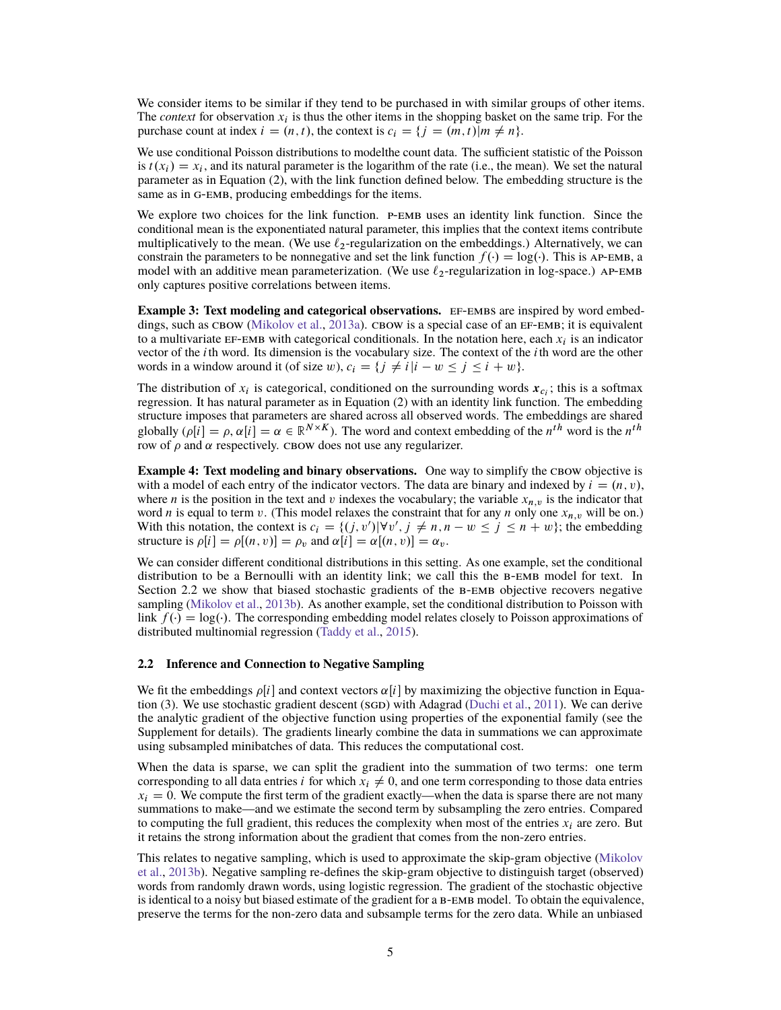We consider items to be similar if they tend to be purchased in with similar groups of other items. The *context* for observation  $x_i$  is thus the other items in the shopping basket on the same trip. For the purchase count at index  $i = (n, t)$ , the context is  $c_i = \{j = (m, t) | m \neq n\}.$ 

We use conditional Poisson distributions to modelthe count data. The sufficient statistic of the Poisson is  $t(x_i) = x_i$ , and its natural parameter is the logarithm of the rate (i.e., the mean). We set the natural parameter as in [Equation \(2\),](#page-2-2) with the link function defined below. The embedding structure is the same as in G-EMB, producing embeddings for the items.

We explore two choices for the link function. P-EMB uses an identity link function. Since the conditional mean is the exponentiated natural parameter, this implies that the context items contribute multiplicatively to the mean. (We use  $\ell_2$ -regularization on the embeddings.) Alternatively, we can constrain the parameters to be nonnegative and set the link function  $f() = \log(.)$ . This is AP-EMB, a model with an additive mean parameterization. (We use  $\ell_2$ -regularization in log-space.) AP-EMB only captures positive correlations between items.

**Example 3: Text modeling and categorical observations.** EF-EMBS are inspired by word embeddings, such as  $CBOW$  [\(Mikolov et al.,](#page-8-1) [2013a\)](#page-8-1). CBOW is a special case of an  $EF$ - $EMB$ ; it is equivalent to a multivariate EF-EMB with categorical conditionals. In the notation here, each  $x_i$  is an indicator vector of the  $i$ th word. Its dimension is the vocabulary size. The context of the  $i$ th word are the other words in a window around it (of size w),  $c_i = \{ j \neq i | i - w \leq j \leq i + w \}.$ 

The distribution of  $x_i$  is categorical, conditioned on the surrounding words  $x_{c_i}$ ; this is a softmax regression. It has natural parameter as in [Equation \(2\)](#page-2-2) with an identity link function. The embedding structure imposes that parameters are shared across all observed words. The embeddings are shared globally  $(\rho[i] = \rho, \alpha[i]) = \alpha \in \mathbb{R}^{N \times K}$ ). The word and context embedding of the  $n^{th}$  word is the  $n^{th}$ row of  $\rho$  and  $\alpha$  respectively. CBOW does not use any regularizer.

**Example 4: Text modeling and binary observations.** One way to simplify the CBOW objective is with a model of each entry of the indicator vectors. The data are binary and indexed by  $i = (n, v)$ , where *n* is the position in the text and *v* indexes the vocabulary; the variable  $x_{n,v}$  is the indicator that word *n* is equal to term *v*. (This model relaxes the constraint that for any *n* only one  $x_{n,v}$  will be on.) With this notation, the context is  $c_i = \{(j, v') | \forall v', j \neq n, n - w \leq j \leq n + w\}$ ; the embedding structure is  $\rho[i] = \rho[(n, v)] = \rho_v$  and  $\alpha[i] = \alpha[(n, v)] = \alpha_v$ .

We can consider different conditional distributions in this setting. As one example, set the conditional distribution to be a Bernoulli with an identity link; we call this the b-emb model for text. In [Section 2.2](#page-4-0) we show that biased stochastic gradients of the b-emb objective recovers negative sampling [\(Mikolov et al.,](#page-8-2) [2013b\)](#page-8-2). As another example, set the conditional distribution to Poisson with link  $f(\cdot) = \log(\cdot)$ . The corresponding embedding model relates closely to Poisson approximations of distributed multinomial regression [\(Taddy et al.,](#page-8-20) [2015\)](#page-8-20).

#### <span id="page-4-0"></span>**2.2 Inference and Connection to Negative Sampling**

We fit the embeddings  $\rho[i]$  and context vectors  $\alpha[i]$  by maximizing the objective function in [Equa](#page-2-1)[tion \(3\).](#page-2-1) We use stochastic gradient descent (SGD) with Adagrad [\(Duchi et al.,](#page-8-21) [2011\)](#page-8-21). We can derive the analytic gradient of the objective function using properties of the exponential family (see the Supplement for details). The gradients linearly combine the data in summations we can approximate using subsampled minibatches of data. This reduces the computational cost.

When the data is sparse, we can split the gradient into the summation of two terms: one term corresponding to all data entries *i* for which  $x_i \neq 0$ , and one term corresponding to those data entries  $x_i = 0$ . We compute the first term of the gradient exactly—when the data is sparse there are not many summations to make—and we estimate the second term by subsampling the zero entries. Compared to computing the full gradient, this reduces the complexity when most of the entries  $x_i$  are zero. But it retains the strong information about the gradient that comes from the non-zero entries.

This relates to negative sampling, which is used to approximate the skip-gram objective [\(Mikolov](#page-8-2) [et al.,](#page-8-2) [2013b\)](#page-8-2). Negative sampling re-defines the skip-gram objective to distinguish target (observed) words from randomly drawn words, using logistic regression. The gradient of the stochastic objective is identical to a noisy but biased estimate of the gradient for a b-emb model. To obtain the equivalence, preserve the terms for the non-zero data and subsample terms for the zero data. While an unbiased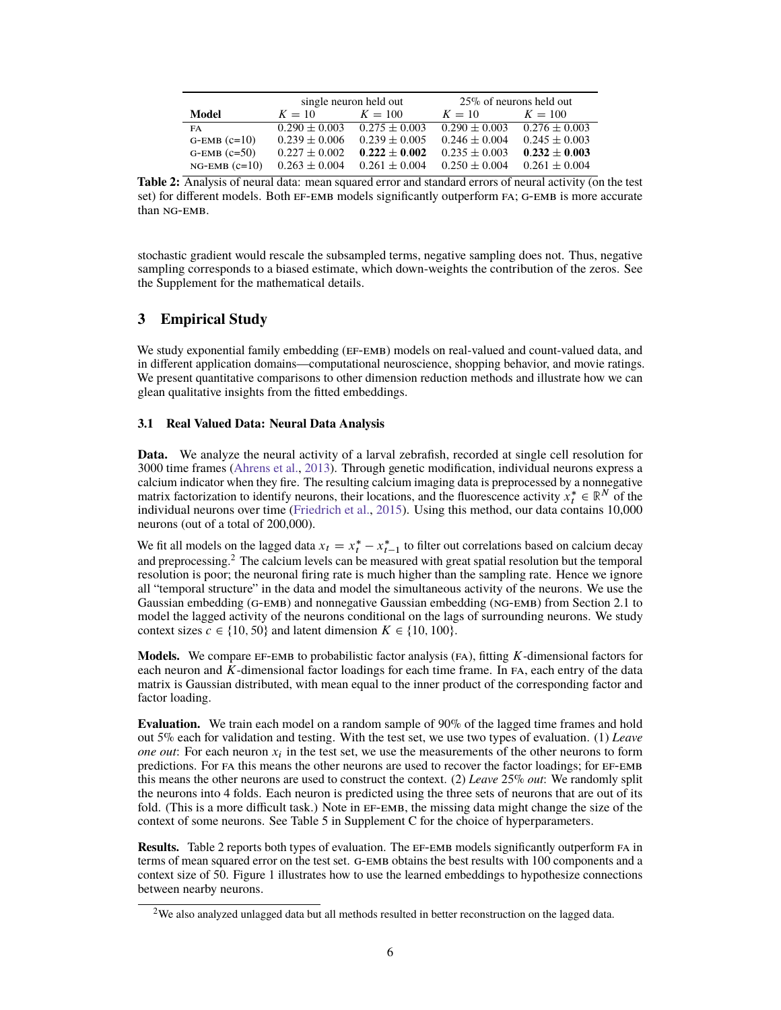<span id="page-5-1"></span>

|                    | single neuron held out |                   | $25\%$ of neurons held out |                   |
|--------------------|------------------------|-------------------|----------------------------|-------------------|
| Model              | $K = 10$               | $K = 100$         | $K = 10$                   | $K = 100$         |
| FA                 | $0.290 \pm 0.003$      | $0.275 \pm 0.003$ | $0.290 \pm 0.003$          | $0.276 \pm 0.003$ |
| $G$ -EMB $(c=10)$  | $0.239 \pm 0.006$      | $0.239 \pm 0.005$ | $0.246 \pm 0.004$          | $0.245 \pm 0.003$ |
| $G$ -EMB $(c=50)$  | $0.227 \pm 0.002$      | $0.222 \pm 0.002$ | $0.235 \pm 0.003$          | $0.232 \pm 0.003$ |
| $NG$ -EMB $(c=10)$ | $0.263 \pm 0.004$      | $0.261 \pm 0.004$ | $0.250 \pm 0.004$          | $0.261 \pm 0.004$ |

**Table 2:** Analysis of neural data: mean squared error and standard errors of neural activity (on the test set) for different models. Both EF-EMB models significantly outperform FA; G-EMB is more accurate than ng-emb.

stochastic gradient would rescale the subsampled terms, negative sampling does not. Thus, negative sampling corresponds to a biased estimate, which down-weights the contribution of the zeros. See the Supplement for the mathematical details.

## **3 Empirical Study**

We study exponential family embedding (EF-EMB) models on real-valued and count-valued data, and in different application domains—computational neuroscience, shopping behavior, and movie ratings. We present quantitative comparisons to other dimension reduction methods and illustrate how we can glean qualitative insights from the fitted embeddings.

### **3.1 Real Valued Data: Neural Data Analysis**

**Data.** We analyze the neural activity of a larval zebrafish, recorded at single cell resolution for 3000 time frames [\(Ahrens et al.,](#page-8-19) [2013\)](#page-8-19). Through genetic modification, individual neurons express a calcium indicator when they fire. The resulting calcium imaging data is preprocessed by a nonnegative matrix factorization to identify neurons, their locations, and the fluorescence activity  $x_t^* \in \mathbb{R}^N$  of the individual neurons over time [\(Friedrich et al.,](#page-8-22) [2015\)](#page-8-22). Using this method, our data contains 10,000 neurons (out of a total of 200,000).

We fit all models on the lagged data  $x_t = x_t^* - x_{t-1}^*$  to filter out correlations based on calcium decay and preprocessing.<sup>[2](#page-5-0)</sup> The calcium levels can be measured with great spatial resolution but the temporal resolution is poor; the neuronal firing rate is much higher than the sampling rate. Hence we ignore all "temporal structure" in the data and model the simultaneous activity of the neurons. We use the Gaussian embedding (G-EMB) and nonnegative Gaussian embedding (NG-EMB) from [Section 2.1](#page-3-0) to model the lagged activity of the neurons conditional on the lags of surrounding neurons. We study context sizes  $c \in \{10, 50\}$  and latent dimension  $K \in \{10, 100\}.$ 

**Models.** We compare ef-emb to probabilistic factor analysis (fa), fitting K-dimensional factors for each neuron and  $K$ -dimensional factor loadings for each time frame. In FA, each entry of the data matrix is Gaussian distributed, with mean equal to the inner product of the corresponding factor and factor loading.

**Evaluation.** We train each model on a random sample of 90% of the lagged time frames and hold out 5% each for validation and testing. With the test set, we use two types of evaluation. (1) *Leave one out*: For each neuron  $x_i$  in the test set, we use the measurements of the other neurons to form predictions. For fa this means the other neurons are used to recover the factor loadings; for ef-emb this means the other neurons are used to construct the context. (2) *Leave* 25% *out*: We randomly split the neurons into 4 folds. Each neuron is predicted using the three sets of neurons that are out of its fold. (This is a more difficult task.) Note in  $EF$ -EMB, the missing data might change the size of the context of some neurons. See [Table 5](#page--1-1) in [Supplement C](#page--1-2) for the choice of hyperparameters.

**Results.** [Table 2](#page-5-1) reports both types of evaluation. The EF-EMB models significantly outperform FA in terms of mean squared error on the test set. g-emb obtains the best results with 100 components and a context size of 50. [Figure 1](#page-6-0) illustrates how to use the learned embeddings to hypothesize connections between nearby neurons.

<span id="page-5-0"></span> $2$ We also analyzed unlagged data but all methods resulted in better reconstruction on the lagged data.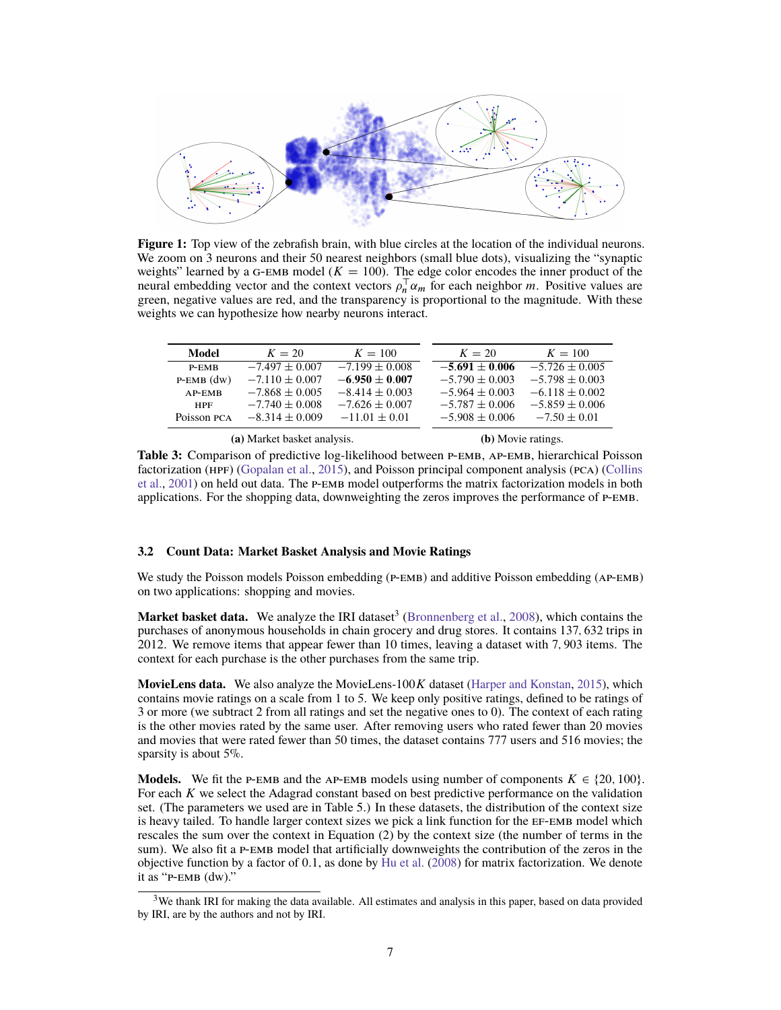<span id="page-6-0"></span>

**Figure 1:** Top view of the zebrafish brain, with blue circles at the location of the individual neurons. We zoom on 3 neurons and their 50 nearest neighbors (small blue dots), visualizing the "synaptic weights" learned by a G-EMB model ( $K = 100$ ). The edge color encodes the inner product of the neural embedding vector and the context vectors  $\rho_n^T \alpha_m$  for each neighbor m. Positive values are green, negative values are red, and the transparency is proportional to the magnitude. With these weights we can hypothesize how nearby neurons interact.

<span id="page-6-2"></span>

| P-EMB           |                    |                    |                    |                    |
|-----------------|--------------------|--------------------|--------------------|--------------------|
|                 | $-7.497 \pm 0.007$ | $-7.199 \pm 0.008$ | $-5.691 \pm 0.006$ | $-5.726 \pm 0.005$ |
| $P$ -EMB $(dw)$ | $-7.110 \pm 0.007$ | $-6.950 \pm 0.007$ | $-5.790 \pm 0.003$ | $-5.798 \pm 0.003$ |
| $AP$ -EMB       | $-7.868 \pm 0.005$ | $-8.414 \pm 0.003$ | $-5.964 \pm 0.003$ | $-6.118 \pm 0.002$ |
| <b>HPF</b>      | $-7.740 \pm 0.008$ | $-7.626 \pm 0.007$ | $-5.787 \pm 0.006$ | $-5.859 \pm 0.006$ |
| Poisson PCA     | $-8.314 \pm 0.009$ | $-11.01 \pm 0.01$  | $-5.908 \pm 0.006$ | $-7.50 \pm 0.01$   |
|                 |                    |                    |                    |                    |

**(a)** Market basket analysis.

**(b)** Movie ratings.

Table 3: Comparison of predictive log-likelihood between P-EMB, AP-EMB, hierarchical Poisson factorization (hpf) [\(Gopalan et al.,](#page-8-13) [2015\)](#page-8-13), and Poisson principal component analysis (pca) [\(Collins](#page-8-12) [et al.,](#page-8-12) [2001\)](#page-8-12) on held out data. The P-EMB model outperforms the matrix factorization models in both applications. For the shopping data, downweighting the zeros improves the performance of p-emb.

### **3.2 Count Data: Market Basket Analysis and Movie Ratings**

We study the Poisson models Poisson embedding ( $P$ -EMB) and additive Poisson embedding ( $AP$ -EMB) on two applications: shopping and movies.

**Market basket data.** We analyze the IRI dataset<sup>[3](#page-6-1)</sup> [\(Bronnenberg et al.,](#page-8-23) [2008\)](#page-8-23), which contains the purchases of anonymous households in chain grocery and drug stores. It contains 137; 632 trips in 2012. We remove items that appear fewer than 10 times, leaving a dataset with 7; 903 items. The context for each purchase is the other purchases from the same trip.

MovieLens data. We also analyze the MovieLens-100K dataset [\(Harper and Konstan,](#page-8-24) [2015\)](#page-8-24), which contains movie ratings on a scale from 1 to 5. We keep only positive ratings, defined to be ratings of 3 or more (we subtract 2 from all ratings and set the negative ones to 0). The context of each rating is the other movies rated by the same user. After removing users who rated fewer than 20 movies and movies that were rated fewer than 50 times, the dataset contains 777 users and 516 movies; the sparsity is about 5%.

**Models.** We fit the P-EMB and the AP-EMB models using number of components  $K \in \{20, 100\}$ . For each K we select the Adagrad constant based on best predictive performance on the validation set. (The parameters we used are in [Table 5.](#page--1-1)) In these datasets, the distribution of the context size is heavy tailed. To handle larger context sizes we pick a link function for the ef-emb model which rescales the sum over the context in [Equation \(2\)](#page-2-2) by the context size (the number of terms in the sum). We also fit a P-EMB model that artificially downweights the contribution of the zeros in the objective function by a factor of 0:1, as done by [Hu et al.](#page-8-25) [\(2008\)](#page-8-25) for matrix factorization. We denote it as "p-emb (dw)."

<span id="page-6-1"></span><sup>&</sup>lt;sup>3</sup>We thank IRI for making the data available. All estimates and analysis in this paper, based on data provided by IRI, are by the authors and not by IRI.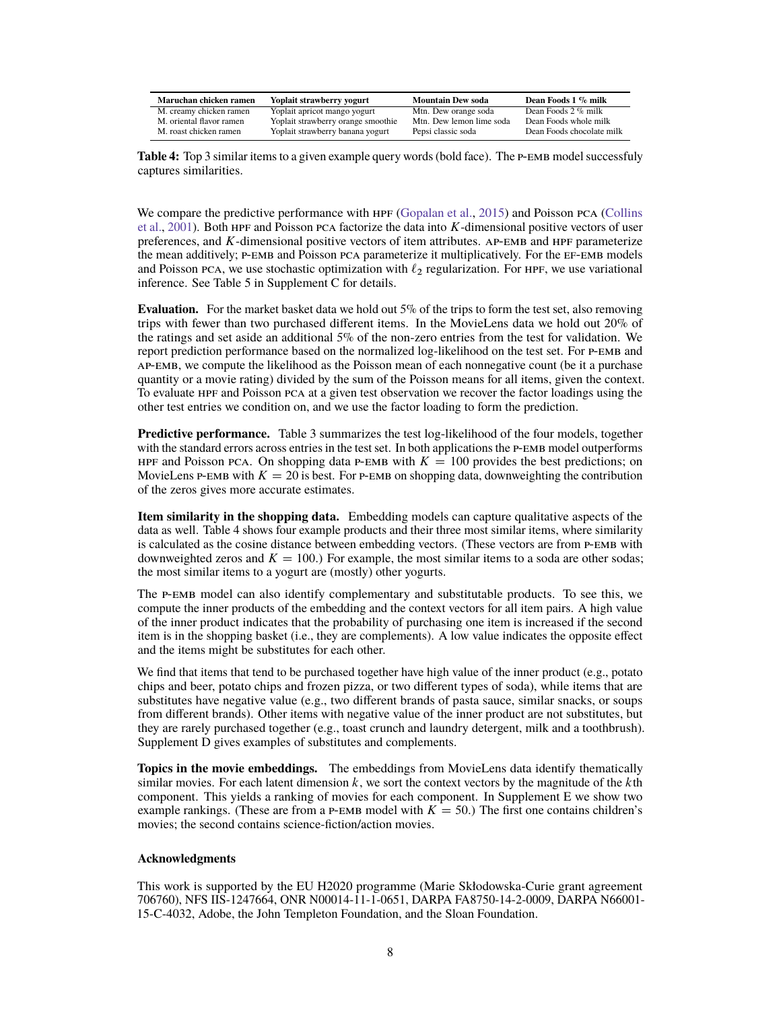<span id="page-7-0"></span>

| Maruchan chicken ramen   | Yoplait strawberry yogurt          | <b>Mountain Dew soda</b> | Dean Foods 1 % milk       |
|--------------------------|------------------------------------|--------------------------|---------------------------|
| M. creamy chicken ramen  | Yoplait apricot mango yogurt       | Mtn. Dew orange soda     | Dean Foods 2 % milk       |
| M. oriental flavor ramen | Yoplait strawberry orange smoothie | Mtn. Dew lemon lime soda | Dean Foods whole milk     |
| M. roast chicken ramen   | Yoplait strawberry banana yogurt   | Pepsi classic soda       | Dean Foods chocolate milk |

Table 4: Top 3 similar items to a given example query words (bold face). The P-EMB model successfuly captures similarities.

We compare the predictive performance with  $HPF$  [\(Gopalan et al.,](#page-8-13) [2015\)](#page-8-13) and Poisson PCA [\(Collins](#page-8-12) [et al.,](#page-8-12) [2001\)](#page-8-12). Both HPF and Poisson PCA factorize the data into  $K$ -dimensional positive vectors of user preferences, and  $K$ -dimensional positive vectors of item attributes. AP-EMB and HPF parameterize the mean additively; p-emb and Poisson pca parameterize it multiplicatively. For the ef-emb models and Poisson PCA, we use stochastic optimization with  $\ell_2$  regularization. For HPF, we use variational inference. See [Table 5](#page--1-1) in [Supplement C](#page--1-2) for details.

**Evaluation.** For the market basket data we hold out  $5\%$  of the trips to form the test set, also removing trips with fewer than two purchased different items. In the MovieLens data we hold out 20% of the ratings and set aside an additional 5% of the non-zero entries from the test for validation. We report prediction performance based on the normalized log-likelihood on the test set. For p-emb and ap-emb, we compute the likelihood as the Poisson mean of each nonnegative count (be it a purchase quantity or a movie rating) divided by the sum of the Poisson means for all items, given the context. To evaluate hpf and Poisson pca at a given test observation we recover the factor loadings using the other test entries we condition on, and we use the factor loading to form the prediction.

**Predictive performance.** [Table 3](#page-6-2) summarizes the test log-likelihood of the four models, together with the standard errors across entries in the test set. In both applications the P-EMB model outperforms HPF and Poisson PCA. On shopping data P-EMB with  $K = 100$  provides the best predictions; on MovieLens P-EMB with  $K = 20$  is best. For P-EMB on shopping data, downweighting the contribution of the zeros gives more accurate estimates.

**Item similarity in the shopping data.** Embedding models can capture qualitative aspects of the data as well. [Table 4](#page-7-0) shows four example products and their three most similar items, where similarity is calculated as the cosine distance between embedding vectors. (These vectors are from p-emb with downweighted zeros and  $K = 100$ .) For example, the most similar items to a soda are other sodas; the most similar items to a yogurt are (mostly) other yogurts.

The p-emb model can also identify complementary and substitutable products. To see this, we compute the inner products of the embedding and the context vectors for all item pairs. A high value of the inner product indicates that the probability of purchasing one item is increased if the second item is in the shopping basket (i.e., they are complements). A low value indicates the opposite effect and the items might be substitutes for each other.

We find that items that tend to be purchased together have high value of the inner product (e.g., potato chips and beer, potato chips and frozen pizza, or two different types of soda), while items that are substitutes have negative value (e.g., two different brands of pasta sauce, similar snacks, or soups from different brands). Other items with negative value of the inner product are not substitutes, but they are rarely purchased together (e.g., toast crunch and laundry detergent, milk and a toothbrush). [Supplement D](#page--1-3) gives examples of substitutes and complements.

**Topics in the movie embeddings.** The embeddings from MovieLens data identify thematically similar movies. For each latent dimension  $k$ , we sort the context vectors by the magnitude of the  $k$ th component. This yields a ranking of movies for each component. In [Supplement E](#page--1-2) we show two example rankings. (These are from a P-EMB model with  $K = 50$ .) The first one contains children's movies; the second contains science-fiction/action movies.

#### **Acknowledgments**

This work is supported by the EU H2020 programme (Marie Skłodowska-Curie grant agreement 706760), NFS IIS-1247664, ONR N00014-11-1-0651, DARPA FA8750-14-2-0009, DARPA N66001- 15-C-4032, Adobe, the John Templeton Foundation, and the Sloan Foundation.